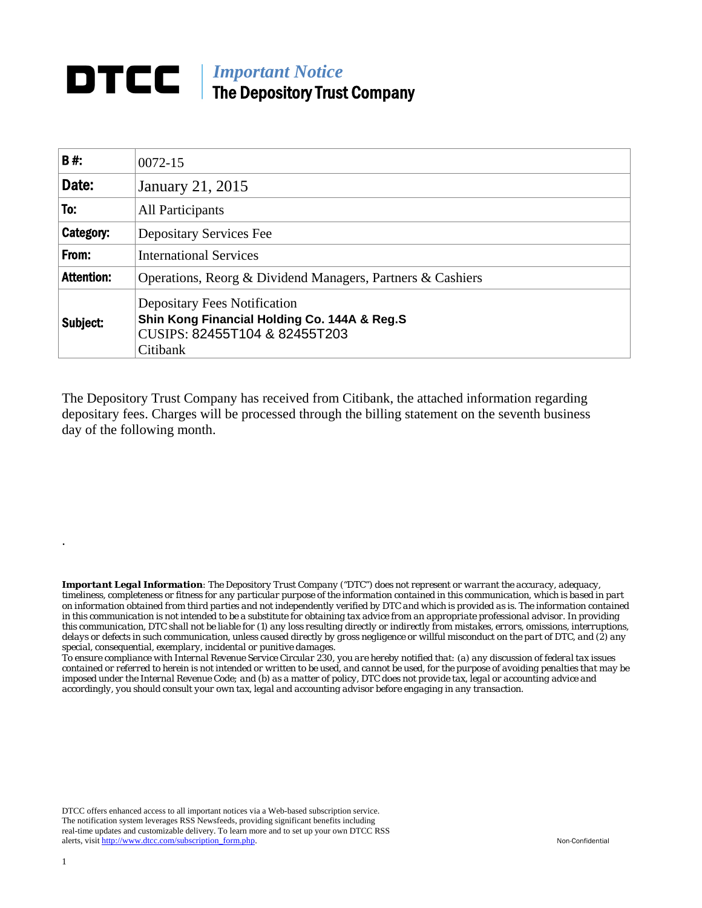## **DTCC** | *Important Notice* The Depository Trust Company

| B#:               | $0072 - 15$                                                                                                                      |
|-------------------|----------------------------------------------------------------------------------------------------------------------------------|
| Date:             | January 21, 2015                                                                                                                 |
| To:               | All Participants                                                                                                                 |
| Category:         | <b>Depositary Services Fee</b>                                                                                                   |
| From:             | <b>International Services</b>                                                                                                    |
| <b>Attention:</b> | Operations, Reorg & Dividend Managers, Partners & Cashiers                                                                       |
| Subject:          | <b>Depositary Fees Notification</b><br>Shin Kong Financial Holding Co. 144A & Reg.S<br>CUSIPS: 82455T104 & 82455T203<br>Citibank |

The Depository Trust Company has received from Citibank, the attached information regarding depositary fees. Charges will be processed through the billing statement on the seventh business day of the following month.

*Important Legal Information: The Depository Trust Company ("DTC") does not represent or warrant the accuracy, adequacy, timeliness, completeness or fitness for any particular purpose of the information contained in this communication, which is based in part on information obtained from third parties and not independently verified by DTC and which is provided as is. The information contained in this communication is not intended to be a substitute for obtaining tax advice from an appropriate professional advisor. In providing this communication, DTC shall not be liable for (1) any loss resulting directly or indirectly from mistakes, errors, omissions, interruptions, delays or defects in such communication, unless caused directly by gross negligence or willful misconduct on the part of DTC, and (2) any special, consequential, exemplary, incidental or punitive damages.* 

*To ensure compliance with Internal Revenue Service Circular 230, you are hereby notified that: (a) any discussion of federal tax issues contained or referred to herein is not intended or written to be used, and cannot be used, for the purpose of avoiding penalties that may be imposed under the Internal Revenue Code; and (b) as a matter of policy, DTC does not provide tax, legal or accounting advice and accordingly, you should consult your own tax, legal and accounting advisor before engaging in any transaction.*

DTCC offers enhanced access to all important notices via a Web-based subscription service. The notification system leverages RSS Newsfeeds, providing significant benefits including real-time updates and customizable delivery. To learn more and to set up your own DTCC RSS alerts, visit http://www.dtcc.com/subscription\_form.php. Non-Confidential

.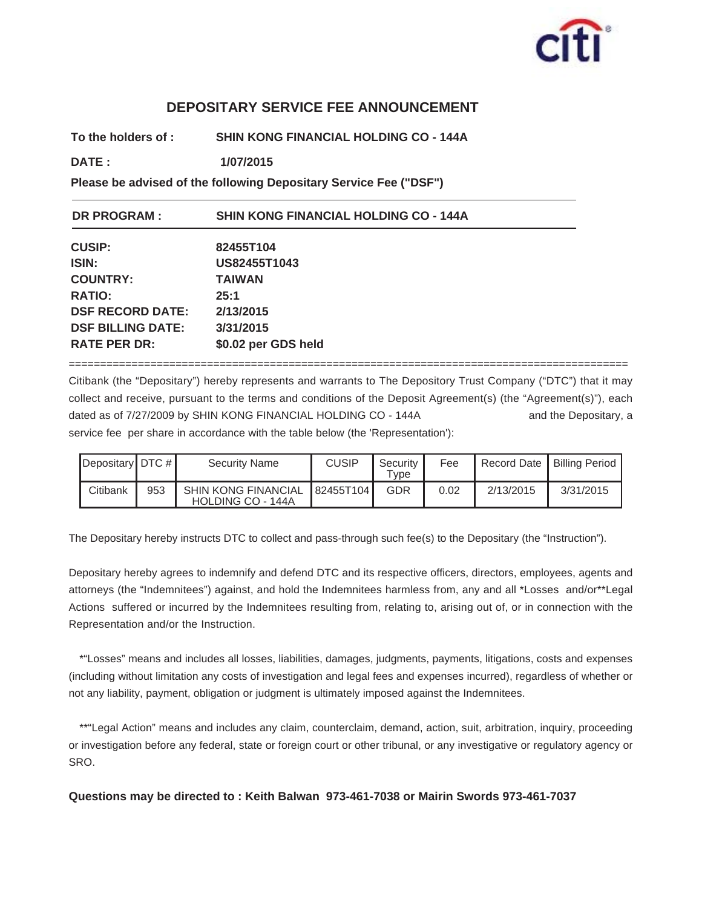

## **DEPOSITARY SERVICE FEE ANNOUNCEMENT**

**To the holders of : SHIN KONG FINANCIAL HOLDING CO - 144A**

**DATE : 1/07/2015 1/07/2015**

**Please be advised of the following Depositary Service Fee ("DSF")**

| <b>DR PROGRAM:</b>       | <b>SHIN KONG FINANCIAL HOLDING CO - 144A</b> |  |  |  |
|--------------------------|----------------------------------------------|--|--|--|
| <b>CUSIP:</b>            | 82455T104                                    |  |  |  |
| <b>ISIN:</b>             | US82455T1043                                 |  |  |  |
| <b>COUNTRY:</b>          | <b>TAIWAN</b>                                |  |  |  |
| <b>RATIO:</b>            | 25:1                                         |  |  |  |
| <b>DSF RECORD DATE:</b>  | 2/13/2015                                    |  |  |  |
| <b>DSF BILLING DATE:</b> | 3/31/2015                                    |  |  |  |
| <b>RATE PER DR:</b>      | \$0.02 per GDS held                          |  |  |  |

Citibank (the "Depositary") hereby represents and warrants to The Depository Trust Company ("DTC") that it may collect and receive, pursuant to the terms and conditions of the Deposit Agreement(s) (the "Agreement(s)"), each dated as of 7/27/2009 by SHIN KONG FINANCIAL HOLDING CO - 144A and the Depositary, a service fee per share in accordance with the table below (the 'Representation'):

=========================================================================================

| $\blacktriangleright$ Depositary $\blacktriangleright$ DTC # |     | <b>Security Name</b>                                   | <b>CUSIP</b> | Security<br>$T$ vpe | Fee  |           | Record Date   Billing Period |
|--------------------------------------------------------------|-----|--------------------------------------------------------|--------------|---------------------|------|-----------|------------------------------|
| Citibank                                                     | 953 | <b>SHIN KONG FINANCIAL</b><br><b>HOLDING CO - 144A</b> | 82455T1041   | GDR                 | 0.02 | 2/13/2015 | 3/31/2015                    |

The Depositary hereby instructs DTC to collect and pass-through such fee(s) to the Depositary (the "Instruction").

Depositary hereby agrees to indemnify and defend DTC and its respective officers, directors, employees, agents and attorneys (the "Indemnitees") against, and hold the Indemnitees harmless from, any and all \*Losses and/or\*\*Legal Actions suffered or incurred by the Indemnitees resulting from, relating to, arising out of, or in connection with the Representation and/or the Instruction.

\*"Losses" means and includes all losses, liabilities, damages, judgments, payments, litigations, costs and expenses (including without limitation any costs of investigation and legal fees and expenses incurred), regardless of whether or not any liability, payment, obligation or judgment is ultimately imposed against the Indemnitees.

\*\*"Legal Action" means and includes any claim, counterclaim, demand, action, suit, arbitration, inquiry, proceeding or investigation before any federal, state or foreign court or other tribunal, or any investigative or regulatory agency or SRO.

**Questions may be directed to : Keith Balwan 973-461-7038 or Mairin Swords 973-461-7037**